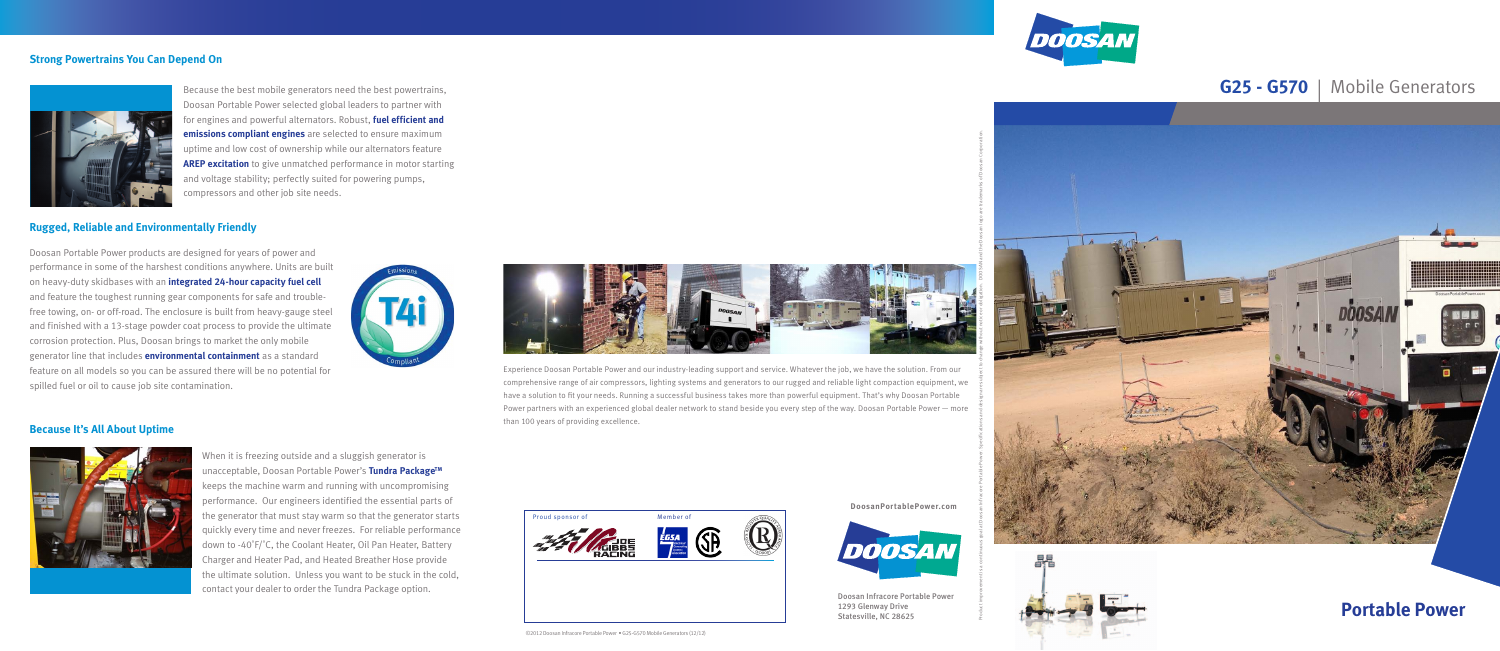

Doosan Infracore Portable Power 1293 Glenway Drive Statesville, NC 28625





**Portable Powe r**



### **G25 - G570** | Mobile Generators





# **Strong Powertrains You Can Depend On**



Because the best mobile generators need the best powertrains, Doosan Portable Power selected global leaders to partner with for engines and powerful alternators. Robust, **fuel efficient and emissions compliant engines** are selected to ensure maximum uptime and low cost of ownership while our alternators feature **AREP excitation** to give unmatched performance in motor starting and voltage stability; perfectly suited for powering pumps, compressors and other job site needs.

# **Rugged, Reliable and Environmentally Friendly**

Doosan Portable Power products are designed for years of power and performance in some of the harshest conditions anywhere. Units are built on heavy-duty skidbases with an **integrated 24-hour capacity fuel cell**  and feature the toughest running gear components for safe and troublefree towing, on- or off-road. The enclosure is built from heavy-gauge steel and finished with a 13-stage powder coat process to provide the ultimate corrosion protection. Plus, Doosan brings to market the only mobile generator line that includes **environmental containment** as a standard feature on all models so you can be assured there will be no potential for spilled fuel or oil to cause job site contamination.



# **Because It's All About Uptime**



When it is freezing outside and a sluggish generator is unacceptable, Doosan Portable Power's **Tundra PackageTM** keeps the machine warm and running with uncompromising performance. Our engineers identified the essential parts of the generator that must stay warm so that the generator starts quickly every time and never freezes. For reliable performance down to -40˚F/˚C, the Coolant Heater, Oil Pan Heater, Battery Charger and Heater Pad, and Heated Breather Hose provide the ultimate solution. Unless you want to be stuck in the cold, contact your dealer to order the Tundra Package option.